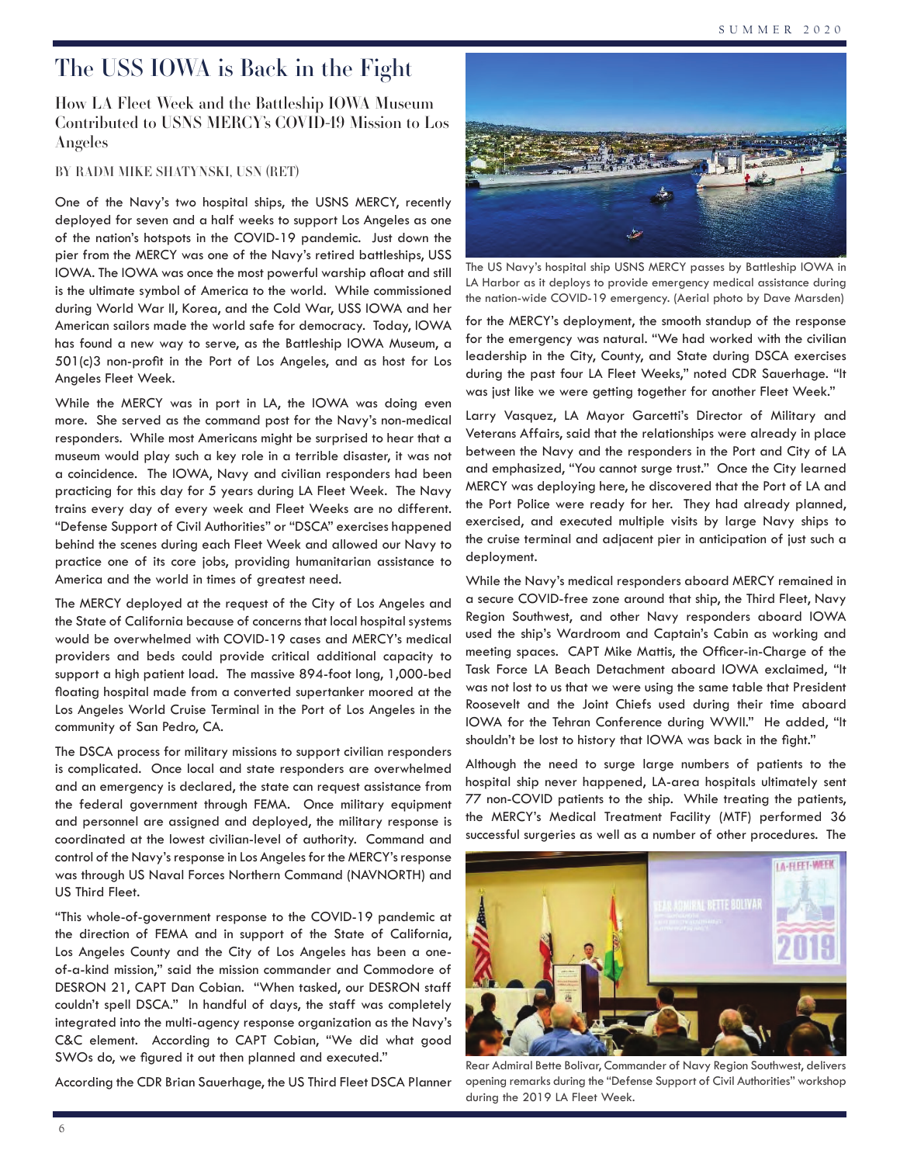## The USS IOWA is Back in the Fight

How LA Fleet Week and the Battleship IOWA Museum Contributed to USNS MERCY's COVID-19 Mission to Los Angeles

BY RADM MIKE SHATYNSKI, USN (RET)

One of the Navy's two hospital ships, the USNS MERCY, recently deployed for seven and a half weeks to support Los Angeles as one of the nation's hotspots in the COVID-19 pandemic. Just down the pier from the MERCY was one of the Navy's retired battleships, USS IOWA. The IOWA was once the most powerful warship afloat and still is the ultimate symbol of America to the world. While commissioned during World War II, Korea, and the Cold War, USS IOWA and her American sailors made the world safe for democracy. Today, IOWA has found a new way to serve, as the Battleship IOWA Museum, a 501(c)3 non-profit in the Port of Los Angeles, and as host for Los Angeles Fleet Week.

While the MERCY was in port in LA, the IOWA was doing even more. She served as the command post for the Navy's non-medical responders. While most Americans might be surprised to hear that a museum would play such a key role in a terrible disaster, it was not a coincidence. The IOWA, Navy and civilian responders had been practicing for this day for 5 years during LA Fleet Week. The Navy trains every day of every week and Fleet Weeks are no different. "Defense Support of Civil Authorities" or "DSCA" exercises happened behind the scenes during each Fleet Week and allowed our Navy to practice one of its core jobs, providing humanitarian assistance to America and the world in times of greatest need.

The MERCY deployed at the request of the City of Los Angeles and the State of California because of concerns that local hospital systems would be overwhelmed with COVID-19 cases and MERCY's medical providers and beds could provide critical additional capacity to support a high patient load. The massive 894-foot long, 1,000-bed floating hospital made from a converted supertanker moored at the Los Angeles World Cruise Terminal in the Port of Los Angeles in the community of San Pedro, CA.

The DSCA process for military missions to support civilian responders is complicated. Once local and state responders are overwhelmed and an emergency is declared, the state can request assistance from the federal government through FEMA. Once military equipment and personnel are assigned and deployed, the military response is coordinated at the lowest civilian-level of authority. Command and control of the Navy's response in Los Angeles for the MERCY's response was through US Naval Forces Northern Command (NAVNORTH) and US Third Fleet.

"This whole-of-government response to the COVID-19 pandemic at the direction of FEMA and in support of the State of California, Los Angeles County and the City of Los Angeles has been a oneof-a-kind mission," said the mission commander and Commodore of DESRON 21, CAPT Dan Cobian. "When tasked, our DESRON staff couldn't spell DSCA." In handful of days, the staff was completely integrated into the multi-agency response organization as the Navy's C&C element. According to CAPT Cobian, "We did what good SWOs do, we figured it out then planned and executed."

According the CDR Brian Sauerhage, the US Third Fleet DSCA Planner



The US Navy's hospital ship USNS MERCY passes by Battleship IOWA in LA Harbor as it deploys to provide emergency medical assistance during the nation-wide COVID-19 emergency. (Aerial photo by Dave Marsden)

for the MERCY's deployment, the smooth standup of the response for the emergency was natural. "We had worked with the civilian leadership in the City, County, and State during DSCA exercises during the past four LA Fleet Weeks," noted CDR Sauerhage. "It was just like we were getting together for another Fleet Week."

Larry Vasquez, LA Mayor Garcetti's Director of Military and Veterans Affairs, said that the relationships were already in place between the Navy and the responders in the Port and City of LA and emphasized, "You cannot surge trust." Once the City learned MERCY was deploying here, he discovered that the Port of LA and the Port Police were ready for her. They had already planned, exercised, and executed multiple visits by large Navy ships to the cruise terminal and adjacent pier in anticipation of just such a deployment.

While the Navy's medical responders aboard MERCY remained in a secure COVID-free zone around that ship, the Third Fleet, Navy Region Southwest, and other Navy responders aboard IOWA used the ship's Wardroom and Captain's Cabin as working and meeting spaces. CAPT Mike Mattis, the Officer-in-Charge of the Task Force LA Beach Detachment aboard IOWA exclaimed, "It was not lost to us that we were using the same table that President Roosevelt and the Joint Chiefs used during their time aboard IOWA for the Tehran Conference during WWII." He added, "It shouldn't be lost to history that IOWA was back in the fight."

Although the need to surge large numbers of patients to the hospital ship never happened, LA-area hospitals ultimately sent 77 non-COVID patients to the ship. While treating the patients, the MERCY's Medical Treatment Facility (MTF) performed 36 successful surgeries as well as a number of other procedures. The



Rear Admiral Bette Bolivar, Commander of Navy Region Southwest, delivers opening remarks during the "Defense Support of Civil Authorities" workshop during the 2019 LA Fleet Week.